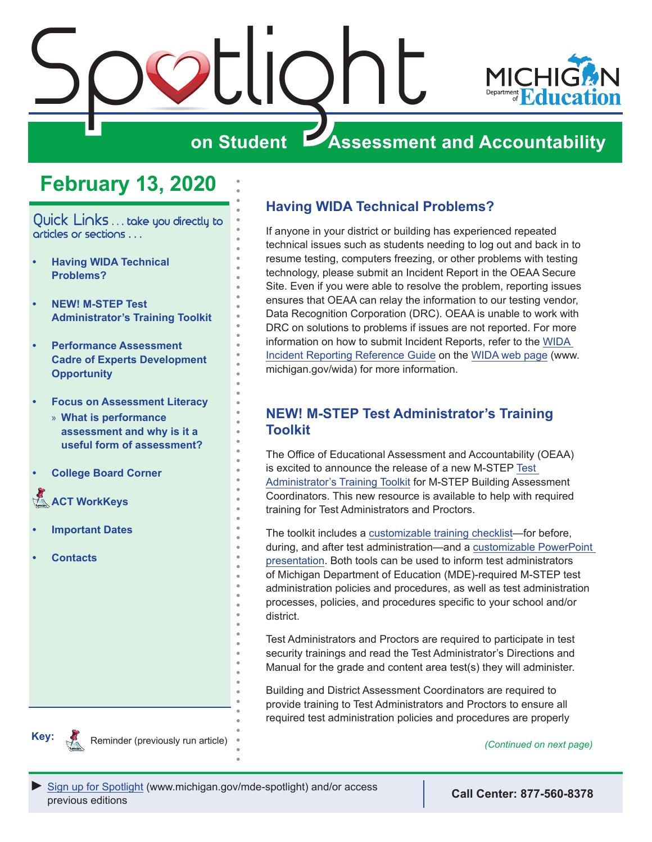<span id="page-0-0"></span>

# **February 13, 2020**

Quick Links . . . take you directly to articles or sections . . .

- **• Having WIDA Technical Problems?**
- **• NEW! M-STEP Test Administrator's Training Toolkit**
- **• [Performance Assessment](#page-1-0)  [Cadre of Experts Development](#page-1-0)  [Opportunity](#page-1-0)**
- **• [Focus on Assessment Literacy](#page-2-0)**
	- » **[What is performance](#page-2-0)  [assessment and why is it a](#page-2-0)  [useful form of assessment?](#page-2-0)**
- **• [College Board Corner](#page-3-0)**
- **ACT WorkKeys**
- **• [Important Dates](#page-5-0)**
- **• [Contacts](#page-6-0)**

# **Having WIDA Technical Problems?**

If anyone in your district or building has experienced repeated technical issues such as students needing to log out and back in to resume testing, computers freezing, or other problems with testing technology, please submit an Incident Report in the OEAA Secure Site. Even if you were able to resolve the problem, reporting issues ensures that OEAA can relay the information to our testing vendor, Data Recognition Corporation (DRC). OEAA is unable to work with DRC on solutions to problems if issues are not reported. For more information on how to submit Incident Reports, refer to the [WIDA](https://www.michigan.gov/documents/mde/WIDA_Incident_Report_Table-jl_550383_7.pdf)  [Incident Reporting Reference Guide](https://www.michigan.gov/documents/mde/WIDA_Incident_Report_Table-jl_550383_7.pdf) on the [WIDA web page](www.michigan.gov/wida) (www. michigan.gov/wida) for more information.

# **NEW! M-STEP Test Administrator's Training Toolkit**

The Office of Educational Assessment and Accountability (OEAA) is excited to announce the release of a new M-STEP [Test](https://www.michigan.gov/mde/0,4615,7-140-22709_70117-519202--,00.html)  [Administrator's Training Toolkit](https://www.michigan.gov/mde/0,4615,7-140-22709_70117-519202--,00.html) for M-STEP Building Assessment Coordinators. This new resource is available to help with required training for Test Administrators and Proctors.

The toolkit includes a [customizable training checklist—](https://www.michigan.gov/documents/mde/M-STEP_Test_Admin_Training_Checklist-2_003_680802_7.docx)for before, during, and after test administration—and a [customizable PowerPoint](https://www.michigan.gov/documents/mde/M-STEP_Test_Administrator_Training_PowerPoint_Template_680800_7.pptx)  [presentation.](https://www.michigan.gov/documents/mde/M-STEP_Test_Administrator_Training_PowerPoint_Template_680800_7.pptx) Both tools can be used to inform test administrators of Michigan Department of Education (MDE)-required M-STEP test administration policies and procedures, as well as test administration processes, policies, and procedures specific to your school and/or district.

Test Administrators and Proctors are required to participate in test security trainings and read the Test Administrator's Directions and Manual for the grade and content area test(s) they will administer.

Building and District Assessment Coordinators are required to provide training to Test Administrators and Proctors to ensure all required test administration policies and procedures are properly



Reminder (previously run article) *(Continued on next page) (Continued on next page)*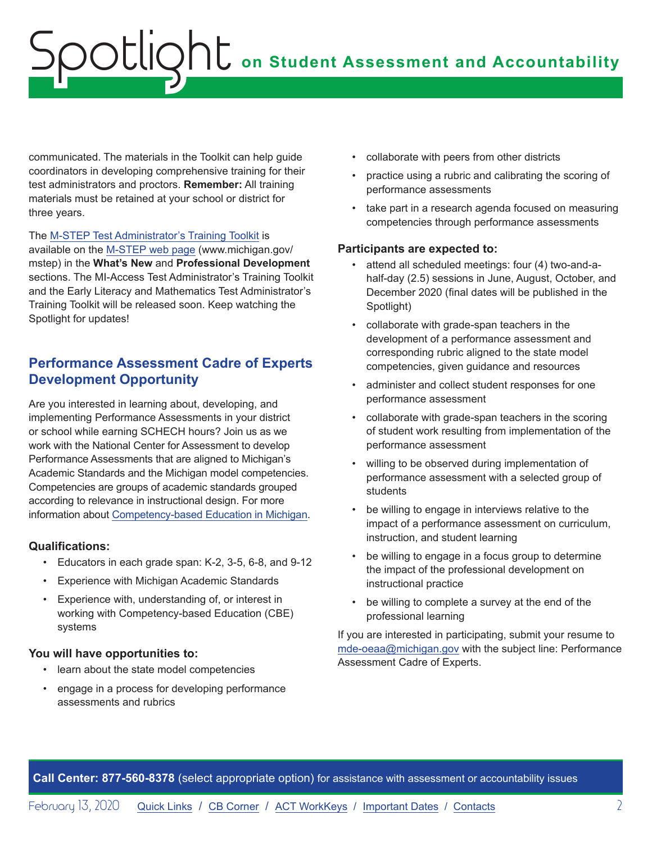# <span id="page-1-0"></span>**on Student Assessment and Accountability** Spotlight

communicated. The materials in the Toolkit can help guide coordinators in developing comprehensive training for their test administrators and proctors. **Remember:** All training materials must be retained at your school or district for three years.

The [M-STEP Test Administrator's Training Toolkit](https://www.michigan.gov/mde/0,4615,7-140-22709_70117-519202--,00.html) is available on the [M-STEP web page](www.michigan.gov/mstep) (www.michigan.gov/ mstep) in the **What's New** and **Professional Development** sections. The MI-Access Test Administrator's Training Toolkit and the Early Literacy and Mathematics Test Administrator's Training Toolkit will be released soon. Keep watching the Spotlight for updates!

# **Performance Assessment Cadre of Experts Development Opportunity**

Are you interested in learning about, developing, and implementing Performance Assessments in your district or school while earning SCHECH hours? Join us as we work with the National Center for Assessment to develop Performance Assessments that are aligned to Michigan's Academic Standards and the Michigan model competencies. Competencies are groups of academic standards grouped according to relevance in instructional design. For more information about [Competency-based Education in Michigan.](https://www.michigan.gov/mde/0,4615,7-140-28753_65803-322532--,00.html)

## **Qualifications:**

- Educators in each grade span: K-2, 3-5, 6-8, and 9-12
- Experience with Michigan Academic Standards
- Experience with, understanding of, or interest in working with Competency-based Education (CBE) systems

## **You will have opportunities to:**

- learn about the state model competencies
- engage in a process for developing performance assessments and rubrics
- collaborate with peers from other districts
- practice using a rubric and calibrating the scoring of performance assessments
- take part in a research agenda focused on measuring competencies through performance assessments

#### **Participants are expected to:**

- attend all scheduled meetings: four (4) two-and-ahalf-day (2.5) sessions in June, August, October, and December 2020 (final dates will be published in the Spotlight)
- collaborate with grade-span teachers in the development of a performance assessment and corresponding rubric aligned to the state model competencies, given guidance and resources
- administer and collect student responses for one performance assessment
- collaborate with grade-span teachers in the scoring of student work resulting from implementation of the performance assessment
- willing to be observed during implementation of performance assessment with a selected group of students
- be willing to engage in interviews relative to the impact of a performance assessment on curriculum, instruction, and student learning
- be willing to engage in a focus group to determine the impact of the professional development on instructional practice
- be willing to complete a survey at the end of the professional learning

If you are interested in participating, submit your resume to [mde-oeaa@michigan.gov](mailto:mde-oeaa%40michigan.gov?subject=Performance%20Assessment%20Cadre%20of%20Experts) with the subject line: Performance Assessment Cadre of Experts.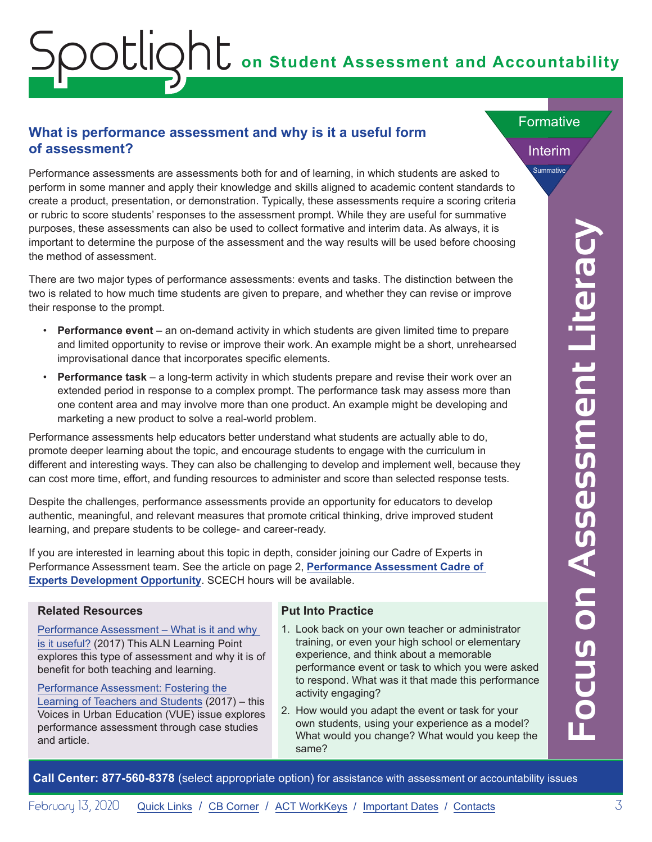# <span id="page-2-0"></span>**on Student Assessment and Accountability** Spotlight

# **What is performance assessment and why is it a useful form of assessment?**

Performance assessments are assessments both for and of learning, in which students are asked to perform in some manner and apply their knowledge and skills aligned to academic content standards to create a product, presentation, or demonstration. Typically, these assessments require a scoring criteria or rubric to score students' responses to the assessment prompt. While they are useful for summative purposes, these assessments can also be used to collect formative and interim data. As always, it is important to determine the purpose of the assessment and the way results will be used before choosing the method of assessment.

There are two major types of performance assessments: events and tasks. The distinction between the two is related to how much time students are given to prepare, and whether they can revise or improve their response to the prompt.

- **Performance event**  an on-demand activity in which students are given limited time to prepare and limited opportunity to revise or improve their work. An example might be a short, unrehearsed improvisational dance that incorporates specific elements.
- **Performance task** a long-term activity in which students prepare and revise their work over an extended period in response to a complex prompt. The performance task may assess more than one content area and may involve more than one product. An example might be developing and marketing a new product to solve a real-world problem.

Performance assessments help educators better understand what students are actually able to do, promote deeper learning about the topic, and encourage students to engage with the curriculum in different and interesting ways. They can also be challenging to develop and implement well, because they can cost more time, effort, and funding resources to administer and score than selected response tests.

Despite the challenges, performance assessments provide an opportunity for educators to develop authentic, meaningful, and relevant measures that promote critical thinking, drive improved student learning, and prepare students to be college- and career-ready.

If you are interested in learning about this topic in depth, consider joining our Cadre of Experts in Performance Assessment team. See the article on page 2, **[Performance Assessment Cadre of](#page-1-0)  [Experts Development Opportunity](#page-1-0)**. SCECH hours will be available.

#### **Related Resources**

[Performance Assessment – What is it and why](https://www.michiganassessmentconsortium.org/wp-content/uploads/Oct2017_ALN-LearningPoint_Performance-Assessments-1.pdf)  [is it useful?](https://www.michiganassessmentconsortium.org/wp-content/uploads/Oct2017_ALN-LearningPoint_Performance-Assessments-1.pdf) (2017) This ALN Learning Point explores this type of assessment and why it is of benefit for both teaching and learning.

[Performance Assessment: Fostering the](http://vue.annenberginstitute.org/issues/46)  [Learning of Teachers and Students](http://vue.annenberginstitute.org/issues/46) (2017) – this Voices in Urban Education (VUE) issue explores performance assessment through case studies and article.

## **Put Into Practice**

- 1. Look back on your own teacher or administrator training, or even your high school or elementary experience, and think about a memorable performance event or task to which you were asked to respond. What was it that made this performance activity engaging?
- 2. How would you adapt the event or task for your own students, using your experience as a model? What would you change? What would you keep the same?

**Focus on Assessment Literacy** Focus on Assessment Litera

Interim

Summative

**Formative**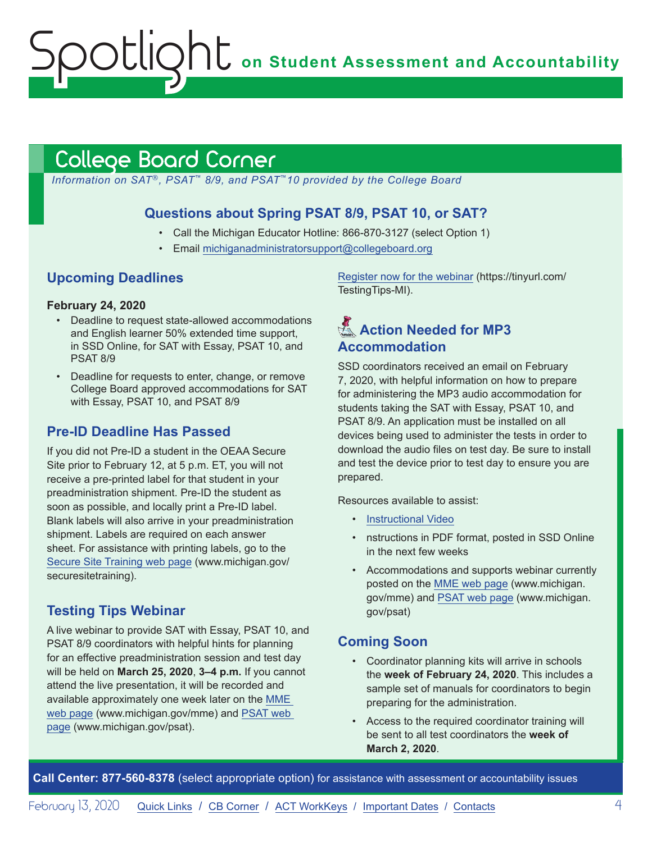**on Student Assessment and Accountability**

# <span id="page-3-1"></span>College Board Corner

<span id="page-3-0"></span>Spotlight

*Information on SAT*®*, PSAT*™ *8/9, and PSAT*™*10 provided by the College Board*

## **Questions about Spring PSAT 8/9, PSAT 10, or SAT?**

- Call the Michigan Educator Hotline: 866-870-3127 (select Option 1)
- Email [michiganadministratorsupport@collegeboard.org](mailto:michiganadministratorsupport%40collegeboard.org?subject=)

## **Upcoming Deadlines**

#### **February 24, 2020**

- Deadline to request state-allowed accommodations and English learner 50% extended time support, in SSD Online, for SAT with Essay, PSAT 10, and PSAT 8/9
- Deadline for requests to enter, change, or remove College Board approved accommodations for SAT with Essay, PSAT 10, and PSAT 8/9

## **Pre-ID Deadline Has Passed**

If you did not Pre-ID a student in the OEAA Secure Site prior to February 12, at 5 p.m. ET, you will not receive a pre-printed label for that student in your preadministration shipment. Pre-ID the student as soon as possible, and locally print a Pre-ID label. Blank labels will also arrive in your preadministration shipment. Labels are required on each answer sheet. For assistance with printing labels, go to the [Secure Site Training web page](http://www.michigan.gov/securesitetraining) (www.michigan.gov/ securesitetraining).

## **Testing Tips Webinar**

A live webinar to provide SAT with Essay, PSAT 10, and PSAT 8/9 coordinators with helpful hints for planning for an effective preadministration session and test day will be held on **March 25, 2020**, **3–4 p.m.** If you cannot attend the live presentation, it will be recorded and available approximately one week later on the [MME](www.michigan.gov/mme)  [web page](www.michigan.gov/mme) (www.michigan.gov/mme) and [PSAT web](http://www.michigan.gov/psat)  [page](http://www.michigan.gov/psat) (www.michigan.gov/psat).

[Register now for the webinar](https://tinyurl.com/TestingTips-MI) (https://tinyurl.com/ TestingTips-MI).

# Reminders **Action Needed for MP3 Accommodation**

SSD coordinators received an email on February 7, 2020, with helpful information on how to prepare for administering the MP3 audio accommodation for students taking the SAT with Essay, PSAT 10, and PSAT 8/9. An application must be installed on all devices being used to administer the tests in order to download the audio files on test day. Be sure to install and test the device prior to test day to ensure you are prepared.

Resources available to assist:

- [Instructional Video](https://www.youtube.com/watch?v=GbGEkqbT9ZA&feature=youtu.be)
- nstructions in PDF format, posted in SSD Online in the next few weeks
- Accommodations and supports webinar currently posted on the [MME web page](www.michigan.gov/mme) (www.michigan. gov/mme) and [PSAT web page](http://www.michigan.gov/psat) (www.michigan. gov/psat)

## **Coming Soon**

- Coordinator planning kits will arrive in schools the **week of February 24, 2020**. This includes a sample set of manuals for coordinators to begin preparing for the administration.
- Access to the required coordinator training will be sent to all test coordinators the **week of March 2, 2020**.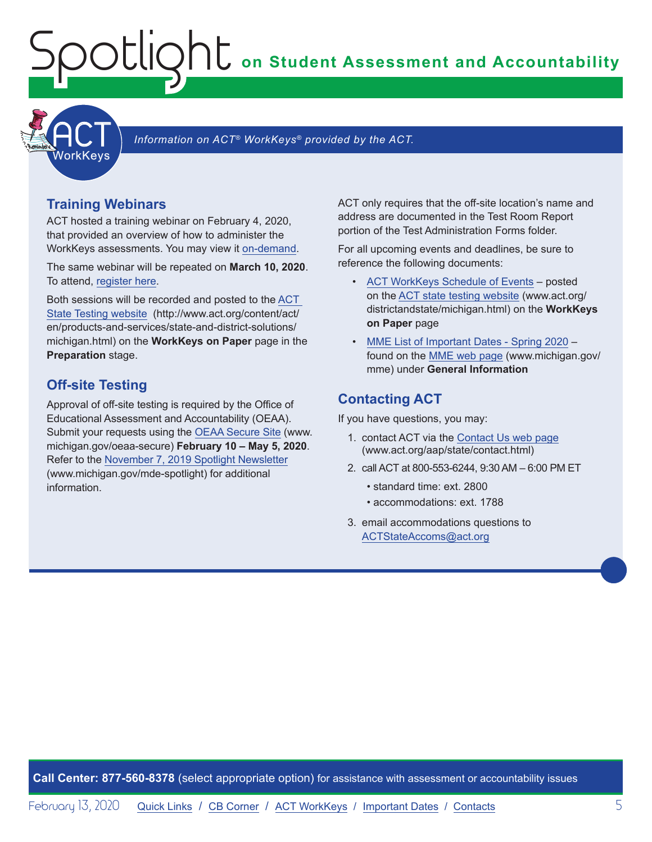**on Student Assessment and Accountability**

<span id="page-4-1"></span>

Information on ACT<sup>®</sup> WorkKeys<sup>®</sup> provided by the ACT.

## **Training Webinars**

<span id="page-4-0"></span>Spotlight

ACT hosted a training webinar on February 4, 2020, that provided an overview of how to administer the WorkKeys assessments. You may view it [on-demand](https://event.on24.com/wcc/r/2124038/11177BB2C08057557E1BDD10CF935708).

The same webinar will be repeated on **March 10, 2020**. To attend, [register here.](https://event.on24.com/wcc/r/2124036/C50E209AAEDE2B03029BDE55DA459C17)

Both sessions will be recorded and posted to the [ACT](http://www.act.org/content/act/en/products-and-services/state-and-district-solutions/michigan.html)  [State Testing website](http://www.act.org/content/act/en/products-and-services/state-and-district-solutions/michigan.html) (http://www.act.org/content/act/ en/products-and-services/state-and-district-solutions/ michigan.html) on the **WorkKeys on Paper** page in the **Preparation** stage.

## **Off-site Testing**

Approval of off-site testing is required by the Office of Educational Assessment and Accountability (OEAA). Submit your requests using the [OEAA Secure Site](http://www.michigan.gov/oeaa-secure) (www. michigan.gov/oeaa-secure) **February 10 – May 5, 2020**. Refer to the [November 7, 2019 Spotlight Newsletter](https://www.michigan.gov/documents/mde/Spotlight_11-7-19_670956_7.pdf) (www.michigan.gov/mde-spotlight) for additional information.

ACT only requires that the off-site location's name and address are documented in the Test Room Report portion of the Test Administration Forms folder.

For all upcoming events and deadlines, be sure to reference the following documents:

- [ACT WorkKeys Schedule of Events](http://www.act.org/content/dam/act/unsecured/documents/ScheduleofEventsWorkKeys-MI.pdf) posted on the [ACT state testing website](http://www.act.org/content/act/en/products-and-services/state-and-district-solutions/michigan.html) (www.act.org/ districtandstate/michigan.html) on the **WorkKeys on Paper** page
- [MME List of Important Dates Spring 2020](https://www.michigan.gov/documents/mde/MME_List_of_Important_Dates_668755_7.pdf) found on the [MME web page](www.michigan.gov/mme) (www.michigan.gov/ mme) under **General Information**

## **Contacting ACT**

If you have questions, you may:

- 1. contact ACT via the [Contact Us web page](http://www.act.org/aap/state/contact.html) [\(www.act.org/aap/state/contact.html](https://www.act.org/aap/state/contact.html))
- 2. call ACT at 800-553-6244, 9:30 AM 6:00 PM ET
	- standard time: ext. 2800
	- accommodations: ext. 1788
- 3. email accommodations questions to [ACTStateAccoms@act.org](mailto:ACTStateAccoms%40act.org?subject=)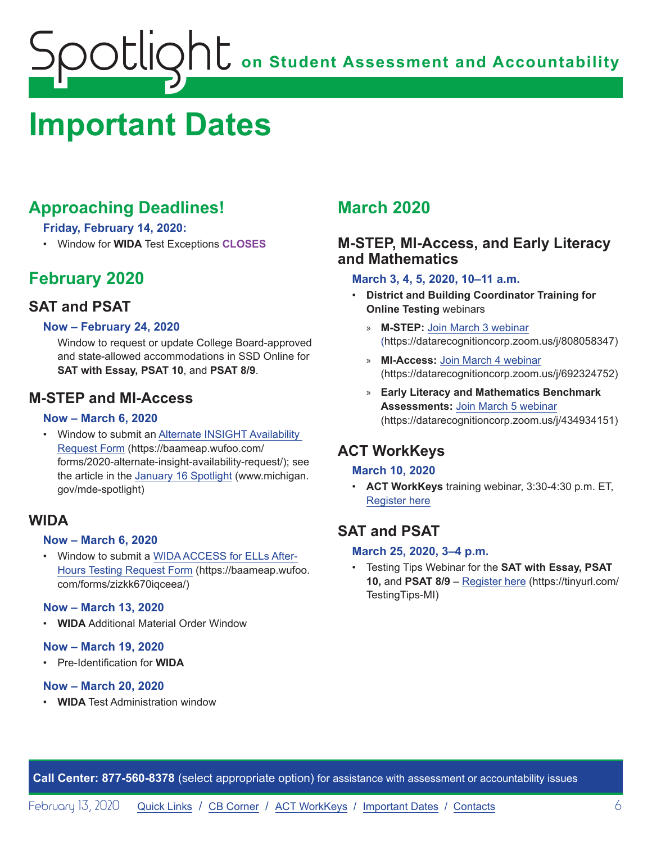# <span id="page-5-1"></span><span id="page-5-0"></span>**Important Dates**

# **Approaching Deadlines!**

**Friday, February 14, 2020:** 

• Window for **WIDA** Test Exceptions **CLOSES**

# **February 2020**

# **SAT and PSAT**

## **Now – February 24, 2020**

Window to request or update College Board-approved and state-allowed accommodations in SSD Online for **SAT with Essay, PSAT 10**, and **PSAT 8/9**.

# **M-STEP and MI-Access**

## **Now – March 6, 2020**

• Window to submit an [Alternate INSIGHT Availability](https://baameap.wufoo.com/forms/2020-alternate-insight-availability-request/)  [Request Form](https://baameap.wufoo.com/forms/2020-alternate-insight-availability-request/) (https://baameap.wufoo.com/ forms/2020-alternate-insight-availability-request/); see the article in the [January 16 Spotlight](https://www.michigan.gov/documents/mde/Spotlight_1-16-20_678716_7.pdf) (www.michigan. gov/mde-spotlight)

## **WIDA**

## **Now – March 6, 2020**

• Window to submit a [WIDA ACCESS for ELLs After-](https://baameap.wufoo.com/forms/zizkk670iqceea/)[Hours Testing Request Form](https://baameap.wufoo.com/forms/zizkk670iqceea/) (https://baameap.wufoo. com/forms/zizkk670iqceea/)

## **Now – March 13, 2020**

• **WIDA** Additional Material Order Window

## **Now – March 19, 2020**

• Pre-Identification for **WIDA**

#### **Now – March 20, 2020**

• **WIDA** Test Administration window

# **March 2020**

# **M-STEP, MI-Access, and Early Literacy and Mathematics**

#### **March 3, 4, 5, 2020, 10–11 a.m.**

- **District and Building Coordinator Training for Online Testing** webinars
	- » **M-STEP:** [Join March 3 webinar](https://datarecognitioncorp.zoom.us/j/808058347) (https://datarecognitioncorp.zoom.us/j/808058347)
	- » **MI-Access:** [Join March 4 webinar](https://datarecognitioncorp.zoom.us/j/692324752) (https://datarecognitioncorp.zoom.us/j/692324752)
	- » **Early Literacy and Mathematics Benchmark Assessments:** [Join March 5 webinar](https://datarecognitioncorp.zoom.us/j/434934151) (https://datarecognitioncorp.zoom.us/j/434934151)

# **ACT WorkKeys**

## **March 10, 2020**

• **ACT WorkKeys** training webinar, 3:30-4:30 p.m. ET, [Register here](https://event.on24.com/wcc/r/2124036/C50E209AAEDE2B03029BDE55DA459C17)

# **SAT and PSAT**

## **March 25, 2020, 3–4 p.m.**

• Testing Tips Webinar for the **SAT with Essay, PSAT 10,** and **PSAT 8/9** – [Register here](https://tinyurl.com/TestingTips-MI) (https://tinyurl.com/ TestingTips-MI)